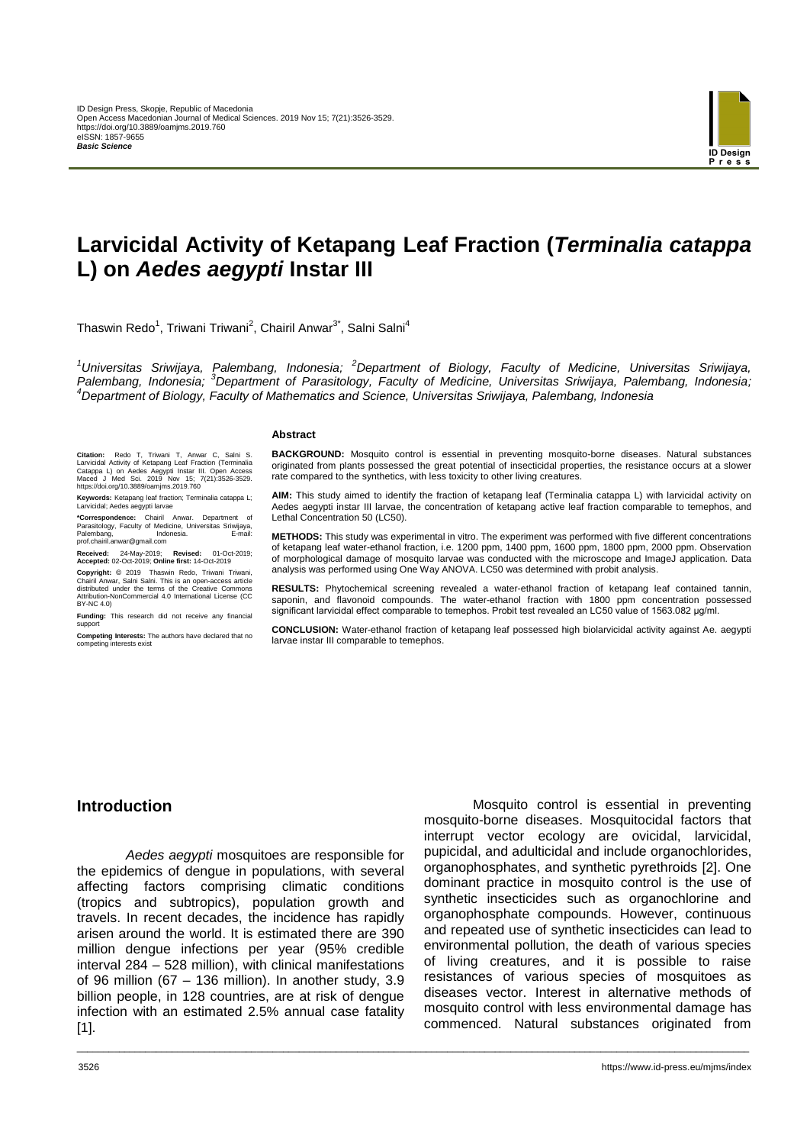

# **Larvicidal Activity of Ketapang Leaf Fraction (***Terminalia catappa* **L) on** *Aedes aegypti* **Instar III**

Thaswin Redo<sup>1</sup>, Triwani Triwani<sup>2</sup>, Chairil Anwar<sup>3\*</sup>, Salni Salni<sup>4</sup>

*<sup>1</sup>Universitas Sriwijaya, Palembang, Indonesia; <sup>2</sup>Department of Biology, Faculty of Medicine, Universitas Sriwijaya, Palembang, Indonesia; <sup>3</sup>Department of Parasitology, Faculty of Medicine, Universitas Sriwijaya, Palembang, Indonesia; <sup>4</sup>Department of Biology, Faculty of Mathematics and Science, Universitas Sriwijaya, Palembang, Indonesia*

\_\_\_\_\_\_\_\_\_\_\_\_\_\_\_\_\_\_\_\_\_\_\_\_\_\_\_\_\_\_\_\_\_\_\_\_\_\_\_\_\_\_\_\_\_\_\_\_\_\_\_\_\_\_\_\_\_\_\_\_\_\_\_\_\_\_\_\_\_\_\_\_\_\_\_\_\_\_\_\_\_\_\_\_\_\_\_\_\_\_\_\_\_\_\_\_\_\_\_\_\_\_\_\_\_\_\_\_\_\_\_\_\_\_\_\_\_\_\_\_\_\_\_\_\_\_\_

#### **Abstract**

**Citation:** Redo T, Triwani T, Anwar C, Salni S. Larvicidal Activity of Ketapang Leaf Fraction (Terminalia Catappa L) on Aedes Aegypti Instar III. Open Access Maced J Med Sci. 2019 Nov 15; 7(21):3526-3529. https://doi.org/10.3889/oamjms.2019.760

**Keywords:** Ketapang leaf fraction; Terminalia catappa L; Larvicidal; Aedes aegypti larvae

**\*Correspondence:** Chairil Anwar. Department of Parasitology, Faculty of Medicine, Universitas Sriwijaya, Palembang, Indonesia. E-mail: Parasitology, Pacuty of Medi<br>Palembang, Indo<br>prof.chairil.anwar@gmail.com

**Received:** 24-May-2019; **Revised:** 01-Oct-2019; **Accepted:** 02-Oct-2019; **Online first:** 14-Oct-2019

**Copyright:** © 2019 Thaswin Redo, Triwani Triwani, Chairil Anwar, Salni Salni. This is an open-access article distributed under the terms of the Creative Commons Attribution-NonCommercial 4.0 International License (CC BY-NC 4.0)

**Funding:** This research did not receive any financial support

**Competing Interests:** The authors have declared that no competing interests exist

**BACKGROUND:** Mosquito control is essential in preventing mosquito-borne diseases. Natural substances originated from plants possessed the great potential of insecticidal properties, the resistance occurs at a slower rate compared to the synthetics, with less toxicity to other living creatures.

**AIM:** This study aimed to identify the fraction of ketapang leaf (Terminalia catappa L) with larvicidal activity on Aedes aegypti instar III larvae, the concentration of ketapang active leaf fraction comparable to temephos, and Lethal Concentration 50 (LC50).

**METHODS:** This study was experimental in vitro. The experiment was performed with five different concentrations of ketapang leaf water-ethanol fraction, i.e. 1200 ppm, 1400 ppm, 1600 ppm, 1800 ppm, 2000 ppm. Observation of morphological damage of mosquito larvae was conducted with the microscope and ImageJ application. Data analysis was performed using One Way ANOVA. LC50 was determined with probit analysis.

**RESULTS:** Phytochemical screening revealed a water-ethanol fraction of ketapang leaf contained tannin, saponin, and flavonoid compounds. The water-ethanol fraction with 1800 ppm concentration possessed significant larvicidal effect comparable to temephos. Probit test revealed an LC50 value of 1563.082 μg/ml.

**CONCLUSION:** Water-ethanol fraction of ketapang leaf possessed high biolarvicidal activity against Ae. aegypti larvae instar III comparable to temephos.

#### **Introduction**

*Aedes aegypti* mosquitoes are responsible for the epidemics of dengue in populations, with several affecting factors comprising climatic conditions (tropics and subtropics), population growth and travels. In recent decades, the incidence has rapidly arisen around the world. It is estimated there are 390 million dengue infections per year (95% credible interval 284 – 528 million), with clinical manifestations of 96 million (67 – 136 million). In another study, 3.9 billion people, in 128 countries, are at risk of dengue infection with an estimated 2.5% annual case fatality [1].

Mosquito control is essential in preventing mosquito-borne diseases. Mosquitocidal factors that interrupt vector ecology are ovicidal, larvicidal, pupicidal, and adulticidal and include organochlorides, organophosphates, and synthetic pyrethroids [2]. One dominant practice in mosquito control is the use of synthetic insecticides such as organochlorine and organophosphate compounds. However, continuous and repeated use of synthetic insecticides can lead to environmental pollution, the death of various species of living creatures, and it is possible to raise resistances of various species of mosquitoes as diseases vector. Interest in alternative methods of mosquito control with less environmental damage has commenced. Natural substances originated from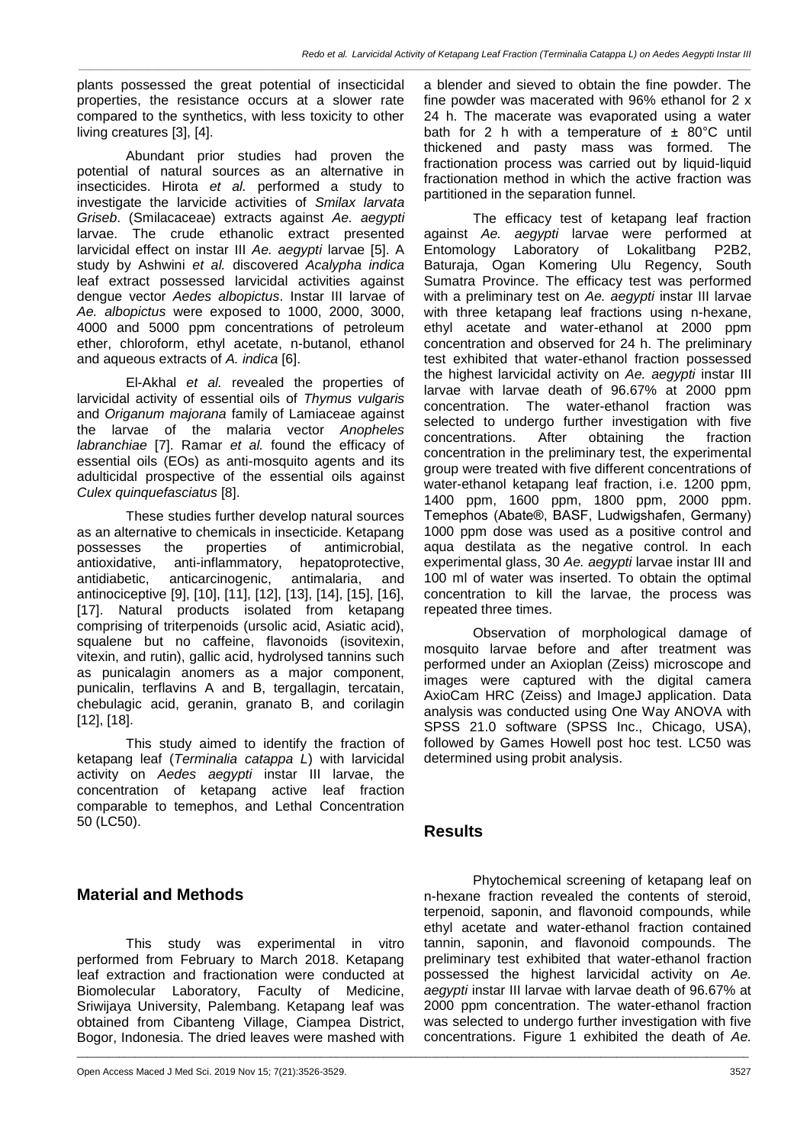*\_\_\_\_\_\_\_\_\_\_\_\_\_\_\_\_\_\_\_\_\_\_\_\_\_\_\_\_\_\_\_\_\_\_\_\_\_\_\_\_\_\_\_\_\_\_\_\_\_\_\_\_\_\_\_\_\_\_\_\_\_\_\_\_\_\_\_\_\_\_\_\_\_\_\_\_\_\_\_\_\_\_\_\_\_\_\_\_\_\_\_\_\_\_\_\_\_\_\_\_\_\_\_\_\_\_\_\_\_\_\_\_\_\_\_\_\_\_\_\_\_\_\_\_\_\_\_*

plants possessed the great potential of insecticidal properties, the resistance occurs at a slower rate compared to the synthetics, with less toxicity to other living creatures [3], [4].

Abundant prior studies had proven the potential of natural sources as an alternative in insecticides. Hirota *et al.* performed a study to investigate the larvicide activities of *Smilax larvata Griseb*. (Smilacaceae) extracts against *Ae. aegypti* larvae. The crude ethanolic extract presented larvicidal effect on instar III *Ae. aegypti* larvae [5]. A study by Ashwini *et al.* discovered *Acalypha indica*  leaf extract possessed larvicidal activities against dengue vector *Aedes albopictus*. Instar III larvae of *Ae. albopictus* were exposed to 1000, 2000, 3000, 4000 and 5000 ppm concentrations of petroleum ether, chloroform, ethyl acetate, n-butanol, ethanol and aqueous extracts of *A. indica* [6].

El-Akhal *et al.* revealed the properties of larvicidal activity of essential oils of *Thymus vulgaris*  and *Origanum majorana* family of Lamiaceae against the larvae of the malaria vector *Anopheles labranchiae* [7]. Ramar *et al.* found the efficacy of essential oils (EOs) as anti-mosquito agents and its adulticidal prospective of the essential oils against *Culex quinquefasciatus* [8].

These studies further develop natural sources as an alternative to chemicals in insecticide. Ketapang possesses the properties of antimicrobial, antioxidative, anti-inflammatory, hepatoprotective, antidiabetic, anticarcinogenic, antimalaria, and antinociceptive [9], [10], [11], [12], [13], [14], [15], [16], [17]. Natural products isolated from ketapang comprising of triterpenoids (ursolic acid, Asiatic acid), squalene but no caffeine, flavonoids (isovitexin, vitexin, and rutin), gallic acid, hydrolysed tannins such as punicalagin anomers as a major component, punicalin, terflavins A and B, tergallagin, tercatain, chebulagic acid, geranin, granato B, and corilagin [12], [18].

This study aimed to identify the fraction of ketapang leaf (*Terminalia catappa L*) with larvicidal activity on *Aedes aegypti* instar III larvae, the concentration of ketapang active leaf fraction comparable to temephos, and Lethal Concentration 50 (LC50).

## **Material and Methods**

This study was experimental in vitro performed from February to March 2018. Ketapang leaf extraction and fractionation were conducted at Biomolecular Laboratory, Faculty of Medicine, Sriwijaya University, Palembang. Ketapang leaf was obtained from Cibanteng Village, Ciampea District, Bogor, Indonesia. The dried leaves were mashed with a blender and sieved to obtain the fine powder. The fine powder was macerated with 96% ethanol for 2 x 24 h. The macerate was evaporated using a water bath for 2 h with a temperature of  $\pm$  80 $^{\circ}$ C until thickened and pasty mass was formed. The fractionation process was carried out by liquid-liquid fractionation method in which the active fraction was partitioned in the separation funnel.

The efficacy test of ketapang leaf fraction against *Ae. aegypti* larvae were performed at Laboratory of Lokalitbang P2B2, Baturaja, Ogan Komering Ulu Regency, South Sumatra Province. The efficacy test was performed with a preliminary test on *Ae. aegypti* instar III larvae with three ketapang leaf fractions using n-hexane, ethyl acetate and water-ethanol at 2000 ppm concentration and observed for 24 h. The preliminary test exhibited that water-ethanol fraction possessed the highest larvicidal activity on *Ae. aegypti* instar III larvae with larvae death of 96.67% at 2000 ppm concentration. The water-ethanol fraction was selected to undergo further investigation with five concentrations. After obtaining the fraction concentration in the preliminary test, the experimental group were treated with five different concentrations of water-ethanol ketapang leaf fraction, i.e. 1200 ppm, 1400 ppm, 1600 ppm, 1800 ppm, 2000 ppm. Temephos (Abate®, BASF, Ludwigshafen, Germany) 1000 ppm dose was used as a positive control and aqua destilata as the negative control. In each experimental glass, 30 *Ae. aegypti* larvae instar III and 100 ml of water was inserted. To obtain the optimal concentration to kill the larvae, the process was repeated three times.

Observation of morphological damage of mosquito larvae before and after treatment was performed under an Axioplan (Zeiss) microscope and images were captured with the digital camera AxioCam HRC (Zeiss) and ImageJ application. Data analysis was conducted using One Way ANOVA with SPSS 21.0 software (SPSS Inc., Chicago, USA), followed by Games Howell post hoc test. LC50 was determined using probit analysis.

### **Results**

\_\_\_\_\_\_\_\_\_\_\_\_\_\_\_\_\_\_\_\_\_\_\_\_\_\_\_\_\_\_\_\_\_\_\_\_\_\_\_\_\_\_\_\_\_\_\_\_\_\_\_\_\_\_\_\_\_\_\_\_\_\_\_\_\_\_\_\_\_\_\_\_\_\_\_\_\_\_\_\_\_\_\_\_\_\_\_\_\_\_\_\_\_\_\_\_\_\_\_\_\_\_\_\_\_\_\_\_\_\_\_\_\_\_\_\_\_\_\_\_\_\_\_\_\_\_\_

Phytochemical screening of ketapang leaf on n-hexane fraction revealed the contents of steroid, terpenoid, saponin, and flavonoid compounds, while ethyl acetate and water-ethanol fraction contained tannin, saponin, and flavonoid compounds. The preliminary test exhibited that water-ethanol fraction possessed the highest larvicidal activity on *Ae. aegypti* instar III larvae with larvae death of 96.67% at 2000 ppm concentration. The water-ethanol fraction was selected to undergo further investigation with five concentrations. Figure 1 exhibited the death of *Ae.*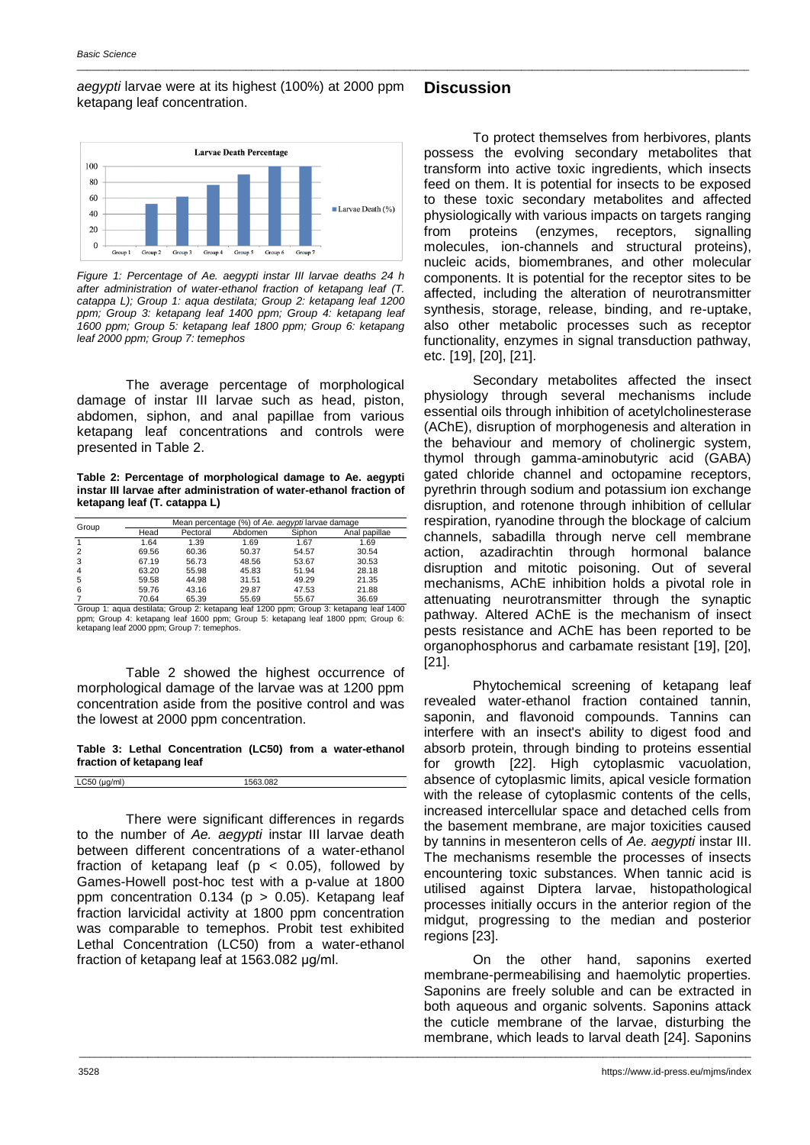*aegypti* larvae were at its highest (100%) at 2000 ppm ketapang leaf concentration. **Discussion**

\_\_\_\_\_\_\_\_\_\_\_\_\_\_\_\_\_\_\_\_\_\_\_\_\_\_\_\_\_\_\_\_\_\_\_\_\_\_\_\_\_\_\_\_\_\_\_\_\_\_\_\_\_\_\_\_\_\_\_\_\_\_\_\_\_\_\_\_\_\_\_\_\_\_\_\_\_\_\_\_\_\_\_\_\_\_\_\_\_\_\_\_\_\_\_\_\_\_\_\_\_\_\_\_\_\_\_\_\_\_\_\_\_\_\_\_\_\_\_\_\_\_\_\_\_\_\_



*Figure 1: Percentage of Ae. aegypti instar III larvae deaths 24 h after administration of water-ethanol fraction of ketapang leaf (T. catappa L); Group 1: aqua destilata; Group 2: ketapang leaf 1200 ppm; Group 3: ketapang leaf 1400 ppm; Group 4: ketapang leaf 1600 ppm; Group 5: ketapang leaf 1800 ppm; Group 6: ketapang leaf 2000 ppm; Group 7: temephos*

The average percentage of morphological damage of instar III larvae such as head, piston, abdomen, siphon, and anal papillae from various ketapang leaf concentrations and controls were presented in Table 2.

**Table 2: Percentage of morphological damage to Ae. aegypti instar III larvae after administration of water-ethanol fraction of ketapang leaf (T. catappa L)**

| Group          | Mean percentage (%) of Ae. aegypti larvae damage |          |         |        |               |
|----------------|--------------------------------------------------|----------|---------|--------|---------------|
|                | Head                                             | Pectoral | Abdomen | Siphon | Anal papillae |
|                | 1.64                                             | 1.39     | 1.69    | 1.67   | 1.69          |
| $\overline{2}$ | 69.56                                            | 60.36    | 50.37   | 54.57  | 30.54         |
| 3              | 67.19                                            | 56.73    | 48.56   | 53.67  | 30.53         |
| $\overline{4}$ | 63.20                                            | 55.98    | 45.83   | 51.94  | 28.18         |
| 5              | 59.58                                            | 44.98    | 31.51   | 49.29  | 21.35         |
| 6              | 59.76                                            | 43.16    | 29.87   | 47.53  | 21.88         |
|                | 70 BA                                            | 65.30    | 55.60   | 55.67  | 36.60         |

7 70.64 65.39 55.69 55.67 36.69 Group 1: aqua destilata; Group 2: ketapang leaf 1200 ppm; Group 3: ketapang leaf 1400 ppm; Group 4: ketapang leaf 1600 ppm; Group 5: ketapang leaf 1800 ppm; Group 6: ketapang leaf 2000 ppm; Group 7: temephos.

Table 2 showed the highest occurrence of morphological damage of the larvae was at 1200 ppm concentration aside from the positive control and was the lowest at 2000 ppm concentration.

**Table 3: Lethal Concentration (LC50) from a water-ethanol fraction of ketapang leaf**

LC50 (μg/ml) 1563.082

There were significant differences in regards to the number of *Ae. aegypti* instar III larvae death between different concentrations of a water-ethanol fraction of ketapang leaf ( $p < 0.05$ ), followed by Games-Howell post-hoc test with a p-value at 1800 ppm concentration  $0.134$  (p > 0.05). Ketapang leaf fraction larvicidal activity at 1800 ppm concentration was comparable to temephos. Probit test exhibited Lethal Concentration (LC50) from a water-ethanol fraction of ketapang leaf at 1563.082 μg/ml.

To protect themselves from herbivores, plants possess the evolving secondary metabolites that transform into active toxic ingredients, which insects feed on them. It is potential for insects to be exposed to these toxic secondary metabolites and affected physiologically with various impacts on targets ranging from proteins (enzymes, receptors, signalling molecules, ion-channels and structural proteins), nucleic acids, biomembranes, and other molecular components. It is potential for the receptor sites to be affected, including the alteration of neurotransmitter synthesis, storage, release, binding, and re-uptake, also other metabolic processes such as receptor functionality, enzymes in signal transduction pathway, etc. [19], [20], [21].

Secondary metabolites affected the insect physiology through several mechanisms include essential oils through inhibition of acetylcholinesterase (AChE), disruption of morphogenesis and alteration in the behaviour and memory of cholinergic system, thymol through gamma-aminobutyric acid (GABA) gated chloride channel and octopamine receptors, pyrethrin through sodium and potassium ion exchange disruption, and rotenone through inhibition of cellular respiration, ryanodine through the blockage of calcium channels, sabadilla through nerve cell membrane action, azadirachtin through hormonal balance disruption and mitotic poisoning. Out of several mechanisms, AChE inhibition holds a pivotal role in attenuating neurotransmitter through the synaptic pathway. Altered AChE is the mechanism of insect pests resistance and AChE has been reported to be organophosphorus and carbamate resistant [19], [20], [21].

Phytochemical screening of ketapang leaf revealed water-ethanol fraction contained tannin, saponin, and flavonoid compounds. Tannins can interfere with an insect's ability to digest food and absorb protein, through binding to proteins essential for growth [22]. High cytoplasmic vacuolation, absence of cytoplasmic limits, apical vesicle formation with the release of cytoplasmic contents of the cells, increased intercellular space and detached cells from the basement membrane, are major toxicities caused by tannins in mesenteron cells of *Ae. aegypti* instar III. The mechanisms resemble the processes of insects encountering toxic substances. When tannic acid is utilised against Diptera larvae, histopathological processes initially occurs in the anterior region of the midgut, progressing to the median and posterior regions [23].

On the other hand, saponins exerted membrane-permeabilising and haemolytic properties. Saponins are freely soluble and can be extracted in both aqueous and organic solvents. Saponins attack the cuticle membrane of the larvae, disturbing the membrane, which leads to larval death [24]. Saponins

\_\_\_\_\_\_\_\_\_\_\_\_\_\_\_\_\_\_\_\_\_\_\_\_\_\_\_\_\_\_\_\_\_\_\_\_\_\_\_\_\_\_\_\_\_\_\_\_\_\_\_\_\_\_\_\_\_\_\_\_\_\_\_\_\_\_\_\_\_\_\_\_\_\_\_\_\_\_\_\_\_\_\_\_\_\_\_\_\_\_\_\_\_\_\_\_\_\_\_\_\_\_\_\_\_\_\_\_\_\_\_\_\_\_\_\_\_\_\_\_\_\_\_\_\_\_\_